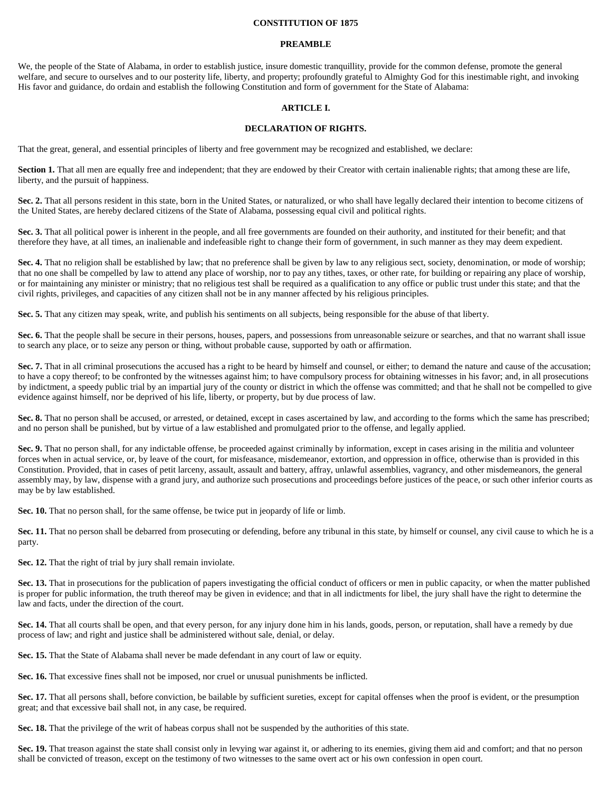#### **CONSTITUTION OF 1875**

#### **PREAMBLE**

We, the people of the State of Alabama, in order to establish justice, insure domestic tranquillity, provide for the common defense, promote the general welfare, and secure to ourselves and to our posterity life, liberty, and property; profoundly grateful to Almighty God for this inestimable right, and invoking His favor and guidance, do ordain and establish the following Constitution and form of government for the State of Alabama:

#### **ARTICLE I.**

### **DECLARATION OF RIGHTS.**

That the great, general, and essential principles of liberty and free government may be recognized and established, we declare:

Section 1. That all men are equally free and independent; that they are endowed by their Creator with certain inalienable rights; that among these are life, liberty, and the pursuit of happiness.

**Sec. 2.** That all persons resident in this state, born in the United States, or naturalized, or who shall have legally declared their intention to become citizens of the United States, are hereby declared citizens of the State of Alabama, possessing equal civil and political rights.

**Sec. 3.** That all political power is inherent in the people, and all free governments are founded on their authority, and instituted for their benefit; and that therefore they have, at all times, an inalienable and indefeasible right to change their form of government, in such manner as they may deem expedient.

**Sec. 4.** That no religion shall be established by law; that no preference shall be given by law to any religious sect, society, denomination, or mode of worship; that no one shall be compelled by law to attend any place of worship, nor to pay any tithes, taxes, or other rate, for building or repairing any place of worship, or for maintaining any minister or ministry; that no religious test shall be required as a qualification to any office or public trust under this state; and that the civil rights, privileges, and capacities of any citizen shall not be in any manner affected by his religious principles.

**Sec. 5.** That any citizen may speak, write, and publish his sentiments on all subjects, being responsible for the abuse of that liberty.

Sec. 6. That the people shall be secure in their persons, houses, papers, and possessions from unreasonable seizure or searches, and that no warrant shall issue to search any place, or to seize any person or thing, without probable cause, supported by oath or affirmation.

Sec. 7. That in all criminal prosecutions the accused has a right to be heard by himself and counsel, or either; to demand the nature and cause of the accusation; to have a copy thereof; to be confronted by the witnesses against him; to have compulsory process for obtaining witnesses in his favor; and, in all prosecutions by indictment, a speedy public trial by an impartial jury of the county or district in which the offense was committed; and that he shall not be compelled to give evidence against himself, nor be deprived of his life, liberty, or property, but by due process of law.

Sec. 8. That no person shall be accused, or arrested, or detained, except in cases ascertained by law, and according to the forms which the same has prescribed; and no person shall be punished, but by virtue of a law established and promulgated prior to the offense, and legally applied.

Sec. 9. That no person shall, for any indictable offense, be proceeded against criminally by information, except in cases arising in the militia and volunteer forces when in actual service, or, by leave of the court, for misfeasance, misdemeanor, extortion, and oppression in office, otherwise than is provided in this Constitution. Provided, that in cases of petit larceny, assault, assault and battery, affray, unlawful assemblies, vagrancy, and other misdemeanors, the general assembly may, by law, dispense with a grand jury, and authorize such prosecutions and proceedings before justices of the peace, or such other inferior courts as may be by law established.

**Sec. 10.** That no person shall, for the same offense, be twice put in jeopardy of life or limb.

Sec. 11. That no person shall be debarred from prosecuting or defending, before any tribunal in this state, by himself or counsel, any civil cause to which he is a party.

**Sec. 12.** That the right of trial by jury shall remain inviolate.

Sec. 13. That in prosecutions for the publication of papers investigating the official conduct of officers or men in public capacity, or when the matter published is proper for public information, the truth thereof may be given in evidence; and that in all indictments for libel, the jury shall have the right to determine the law and facts, under the direction of the court.

**Sec. 14.** That all courts shall be open, and that every person, for any injury done him in his lands, goods, person, or reputation, shall have a remedy by due process of law; and right and justice shall be administered without sale, denial, or delay.

**Sec. 15.** That the State of Alabama shall never be made defendant in any court of law or equity.

**Sec. 16.** That excessive fines shall not be imposed, nor cruel or unusual punishments be inflicted.

Sec. 17. That all persons shall, before conviction, be bailable by sufficient sureties, except for capital offenses when the proof is evident, or the presumption great; and that excessive bail shall not, in any case, be required.

**Sec. 18.** That the privilege of the writ of habeas corpus shall not be suspended by the authorities of this state.

Sec. 19. That treason against the state shall consist only in levying war against it, or adhering to its enemies, giving them aid and comfort; and that no person shall be convicted of treason, except on the testimony of two witnesses to the same overt act or his own confession in open court.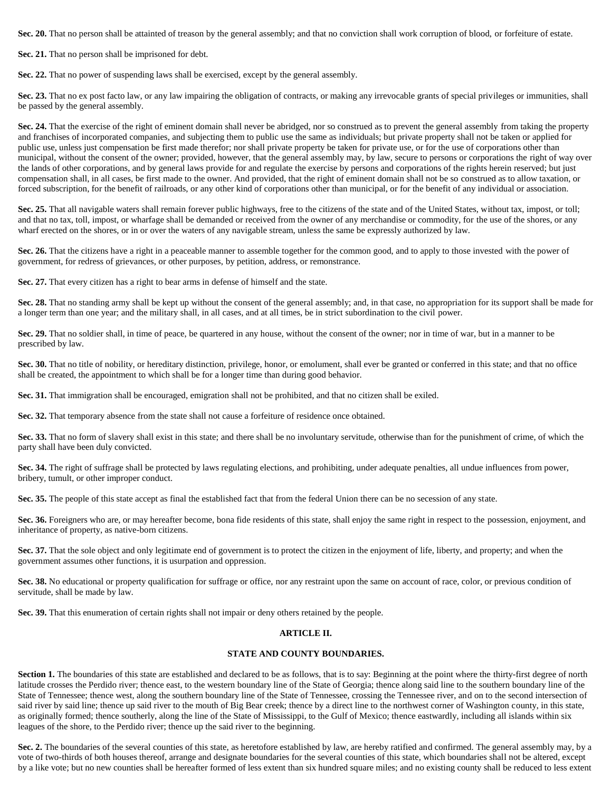**Sec. 20.** That no person shall be attainted of treason by the general assembly; and that no conviction shall work corruption of blood, or forfeiture of estate.

**Sec. 21.** That no person shall be imprisoned for debt.

**Sec. 22.** That no power of suspending laws shall be exercised, except by the general assembly.

Sec. 23. That no ex post facto law, or any law impairing the obligation of contracts, or making any irrevocable grants of special privileges or immunities, shall be passed by the general assembly.

Sec. 24. That the exercise of the right of eminent domain shall never be abridged, nor so construed as to prevent the general assembly from taking the property and franchises of incorporated companies, and subjecting them to public use the same as individuals; but private property shall not be taken or applied for public use, unless just compensation be first made therefor; nor shall private property be taken for private use, or for the use of corporations other than municipal, without the consent of the owner; provided, however, that the general assembly may, by law, secure to persons or corporations the right of way over the lands of other corporations, and by general laws provide for and regulate the exercise by persons and corporations of the rights herein reserved; but just compensation shall, in all cases, be first made to the owner. And provided, that the right of eminent domain shall not be so construed as to allow taxation, or forced subscription, for the benefit of railroads, or any other kind of corporations other than municipal, or for the benefit of any individual or association.

Sec. 25. That all navigable waters shall remain forever public highways, free to the citizens of the state and of the United States, without tax, impost, or toll; and that no tax, toll, impost, or wharfage shall be demanded or received from the owner of any merchandise or commodity, for the use of the shores, or any wharf erected on the shores, or in or over the waters of any navigable stream, unless the same be expressly authorized by law.

**Sec. 26.** That the citizens have a right in a peaceable manner to assemble together for the common good, and to apply to those invested with the power of government, for redress of grievances, or other purposes, by petition, address, or remonstrance.

**Sec. 27.** That every citizen has a right to bear arms in defense of himself and the state.

Sec. 28. That no standing army shall be kept up without the consent of the general assembly; and, in that case, no appropriation for its support shall be made for a longer term than one year; and the military shall, in all cases, and at all times, be in strict subordination to the civil power.

**Sec. 29.** That no soldier shall, in time of peace, be quartered in any house, without the consent of the owner; nor in time of war, but in a manner to be prescribed by law.

**Sec. 30.** That no title of nobility, or hereditary distinction, privilege, honor, or emolument, shall ever be granted or conferred in this state; and that no office shall be created, the appointment to which shall be for a longer time than during good behavior.

**Sec. 31.** That immigration shall be encouraged, emigration shall not be prohibited, and that no citizen shall be exiled.

**Sec. 32.** That temporary absence from the state shall not cause a forfeiture of residence once obtained.

**Sec. 33.** That no form of slavery shall exist in this state; and there shall be no involuntary servitude, otherwise than for the punishment of crime, of which the party shall have been duly convicted.

**Sec. 34.** The right of suffrage shall be protected by laws regulating elections, and prohibiting, under adequate penalties, all undue influences from power, bribery, tumult, or other improper conduct.

**Sec. 35.** The people of this state accept as final the established fact that from the federal Union there can be no secession of any state.

**Sec. 36.** Foreigners who are, or may hereafter become, bona fide residents of this state, shall enjoy the same right in respect to the possession, enjoyment, and inheritance of property, as native-born citizens.

**Sec. 37.** That the sole object and only legitimate end of government is to protect the citizen in the enjoyment of life, liberty, and property; and when the government assumes other functions, it is usurpation and oppression.

Sec. 38. No educational or property qualification for suffrage or office, nor any restraint upon the same on account of race, color, or previous condition of servitude, shall be made by law.

**Sec. 39.** That this enumeration of certain rights shall not impair or deny others retained by the people.

## **ARTICLE II.**

### **STATE AND COUNTY BOUNDARIES.**

Section 1. The boundaries of this state are established and declared to be as follows, that is to say: Beginning at the point where the thirty-first degree of north latitude crosses the Perdido river; thence east, to the western boundary line of the State of Georgia; thence along said line to the southern boundary line of the State of Tennessee; thence west, along the southern boundary line of the State of Tennessee, crossing the Tennessee river, and on to the second intersection of said river by said line; thence up said river to the mouth of Big Bear creek; thence by a direct line to the northwest corner of Washington county, in this state, as originally formed; thence southerly, along the line of the State of Mississippi, to the Gulf of Mexico; thence eastwardly, including all islands within six leagues of the shore, to the Perdido river; thence up the said river to the beginning.

Sec. 2. The boundaries of the several counties of this state, as heretofore established by law, are hereby ratified and confirmed. The general assembly may, by a vote of two-thirds of both houses thereof, arrange and designate boundaries for the several counties of this state, which boundaries shall not be altered, except by a like vote; but no new counties shall be hereafter formed of less extent than six hundred square miles; and no existing county shall be reduced to less extent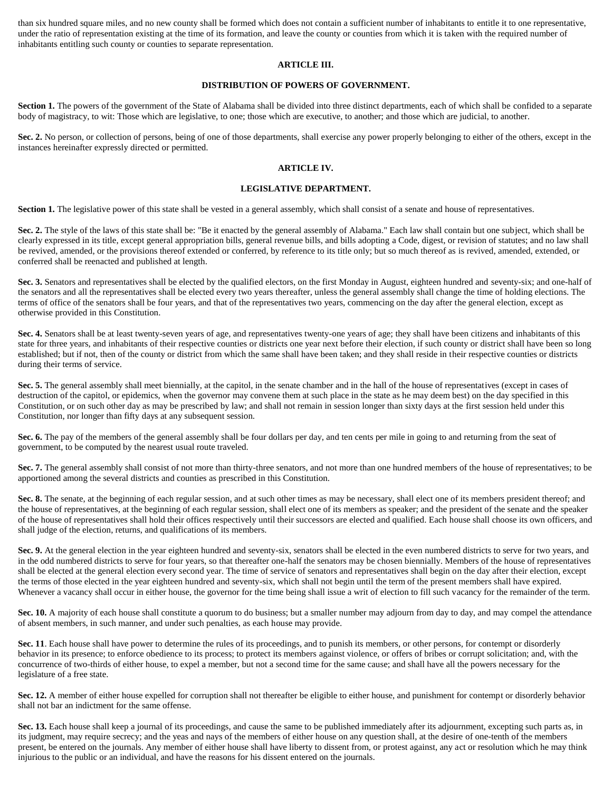than six hundred square miles, and no new county shall be formed which does not contain a sufficient number of inhabitants to entitle it to one representative, under the ratio of representation existing at the time of its formation, and leave the county or counties from which it is taken with the required number of inhabitants entitling such county or counties to separate representation.

### **ARTICLE III.**

# **DISTRIBUTION OF POWERS OF GOVERNMENT.**

**Section 1.** The powers of the government of the State of Alabama shall be divided into three distinct departments, each of which shall be confided to a separate body of magistracy, to wit: Those which are legislative, to one; those which are executive, to another; and those which are judicial, to another.

Sec. 2. No person, or collection of persons, being of one of those departments, shall exercise any power properly belonging to either of the others, except in the instances hereinafter expressly directed or permitted.

### **ARTICLE IV.**

### **LEGISLATIVE DEPARTMENT.**

Section 1. The legislative power of this state shall be vested in a general assembly, which shall consist of a senate and house of representatives.

Sec. 2. The style of the laws of this state shall be: "Be it enacted by the general assembly of Alabama." Each law shall contain but one subject, which shall be clearly expressed in its title, except general appropriation bills, general revenue bills, and bills adopting a Code, digest, or revision of statutes; and no law shall be revived, amended, or the provisions thereof extended or conferred, by reference to its title only; but so much thereof as is revived, amended, extended, or conferred shall be reenacted and published at length.

Sec. 3. Senators and representatives shall be elected by the qualified electors, on the first Monday in August, eighteen hundred and seventy-six; and one-half of the senators and all the representatives shall be elected every two years thereafter, unless the general assembly shall change the time of holding elections. The terms of office of the senators shall be four years, and that of the representatives two years, commencing on the day after the general election, except as otherwise provided in this Constitution.

**Sec. 4.** Senators shall be at least twenty-seven years of age, and representatives twenty-one years of age; they shall have been citizens and inhabitants of this state for three years, and inhabitants of their respective counties or districts one year next before their election, if such county or district shall have been so long established; but if not, then of the county or district from which the same shall have been taken; and they shall reside in their respective counties or districts during their terms of service.

**Sec. 5.** The general assembly shall meet biennially, at the capitol, in the senate chamber and in the hall of the house of representatives (except in cases of destruction of the capitol, or epidemics, when the governor may convene them at such place in the state as he may deem best) on the day specified in this Constitution, or on such other day as may be prescribed by law; and shall not remain in session longer than sixty days at the first session held under this Constitution, nor longer than fifty days at any subsequent session.

**Sec. 6.** The pay of the members of the general assembly shall be four dollars per day, and ten cents per mile in going to and returning from the seat of government, to be computed by the nearest usual route traveled.

Sec. 7. The general assembly shall consist of not more than thirty-three senators, and not more than one hundred members of the house of representatives; to be apportioned among the several districts and counties as prescribed in this Constitution.

Sec. 8. The senate, at the beginning of each regular session, and at such other times as may be necessary, shall elect one of its members president thereof; and the house of representatives, at the beginning of each regular session, shall elect one of its members as speaker; and the president of the senate and the speaker of the house of representatives shall hold their offices respectively until their successors are elected and qualified. Each house shall choose its own officers, and shall judge of the election, returns, and qualifications of its members.

Sec. 9. At the general election in the year eighteen hundred and seventy-six, senators shall be elected in the even numbered districts to serve for two years, and in the odd numbered districts to serve for four years, so that thereafter one-half the senators may be chosen biennially. Members of the house of representatives shall be elected at the general election every second year. The time of service of senators and representatives shall begin on the day after their election, except the terms of those elected in the year eighteen hundred and seventy-six, which shall not begin until the term of the present members shall have expired. Whenever a vacancy shall occur in either house, the governor for the time being shall issue a writ of election to fill such vacancy for the remainder of the term.

**Sec. 10.** A majority of each house shall constitute a quorum to do business; but a smaller number may adjourn from day to day, and may compel the attendance of absent members, in such manner, and under such penalties, as each house may provide.

**Sec. 11**. Each house shall have power to determine the rules of its proceedings, and to punish its members, or other persons, for contempt or disorderly behavior in its presence; to enforce obedience to its process; to protect its members against violence, or offers of bribes or corrupt solicitation; and, with the concurrence of two-thirds of either house, to expel a member, but not a second time for the same cause; and shall have all the powers necessary for the legislature of a free state.

**Sec. 12.** A member of either house expelled for corruption shall not thereafter be eligible to either house, and punishment for contempt or disorderly behavior shall not bar an indictment for the same offense.

Sec. 13. Each house shall keep a journal of its proceedings, and cause the same to be published immediately after its adjournment, excepting such parts as, in its judgment, may require secrecy; and the yeas and nays of the members of either house on any question shall, at the desire of one-tenth of the members present, be entered on the journals. Any member of either house shall have liberty to dissent from, or protest against, any act or resolution which he may think injurious to the public or an individual, and have the reasons for his dissent entered on the journals.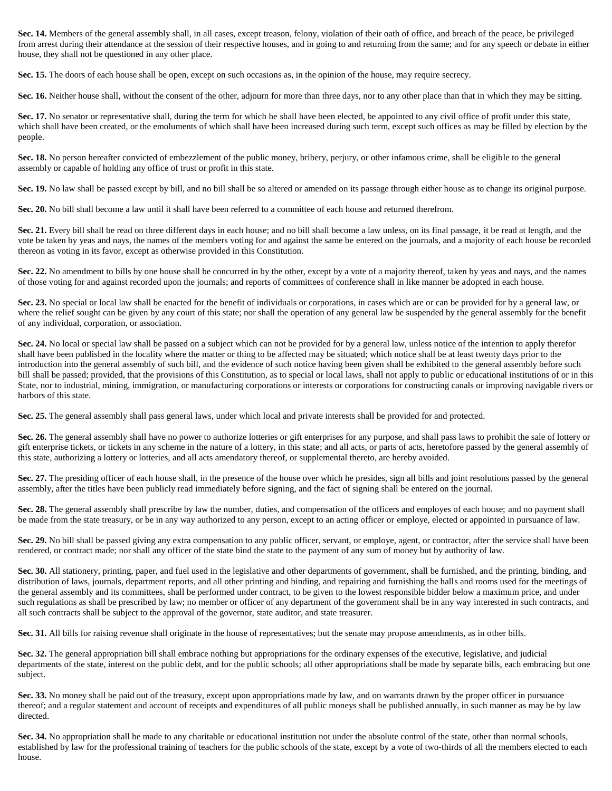**Sec. 14.** Members of the general assembly shall, in all cases, except treason, felony, violation of their oath of office, and breach of the peace, be privileged from arrest during their attendance at the session of their respective houses, and in going to and returning from the same; and for any speech or debate in either house, they shall not be questioned in any other place.

**Sec. 15.** The doors of each house shall be open, except on such occasions as, in the opinion of the house, may require secrecy.

Sec. 16. Neither house shall, without the consent of the other, adjourn for more than three days, nor to any other place than that in which they may be sitting.

Sec. 17. No senator or representative shall, during the term for which he shall have been elected, be appointed to any civil office of profit under this state, which shall have been created, or the emoluments of which shall have been increased during such term, except such offices as may be filled by election by the people.

**Sec. 18.** No person hereafter convicted of embezzlement of the public money, bribery, perjury, or other infamous crime, shall be eligible to the general assembly or capable of holding any office of trust or profit in this state.

Sec. 19. No law shall be passed except by bill, and no bill shall be so altered or amended on its passage through either house as to change its original purpose.

**Sec. 20.** No bill shall become a law until it shall have been referred to a committee of each house and returned therefrom.

Sec. 21. Every bill shall be read on three different days in each house; and no bill shall become a law unless, on its final passage, it be read at length, and the vote be taken by yeas and nays, the names of the members voting for and against the same be entered on the journals, and a majority of each house be recorded thereon as voting in its favor, except as otherwise provided in this Constitution.

**Sec. 22.** No amendment to bills by one house shall be concurred in by the other, except by a vote of a majority thereof, taken by yeas and nays, and the names of those voting for and against recorded upon the journals; and reports of committees of conference shall in like manner be adopted in each house.

Sec. 23. No special or local law shall be enacted for the benefit of individuals or corporations, in cases which are or can be provided for by a general law, or where the relief sought can be given by any court of this state; nor shall the operation of any general law be suspended by the general assembly for the benefit of any individual, corporation, or association.

**Sec. 24.** No local or special law shall be passed on a subject which can not be provided for by a general law, unless notice of the intention to apply therefor shall have been published in the locality where the matter or thing to be affected may be situated; which notice shall be at least twenty days prior to the introduction into the general assembly of such bill, and the evidence of such notice having been given shall be exhibited to the general assembly before such bill shall be passed; provided, that the provisions of this Constitution, as to special or local laws, shall not apply to public or educational institutions of or in this State, nor to industrial, mining, immigration, or manufacturing corporations or interests or corporations for constructing canals or improving navigable rivers or harbors of this state.

**Sec. 25.** The general assembly shall pass general laws, under which local and private interests shall be provided for and protected.

**Sec. 26.** The general assembly shall have no power to authorize lotteries or gift enterprises for any purpose, and shall pass laws to prohibit the sale of lottery or gift enterprise tickets, or tickets in any scheme in the nature of a lottery, in this state; and all acts, or parts of acts, heretofore passed by the general assembly of this state, authorizing a lottery or lotteries, and all acts amendatory thereof, or supplemental thereto, are hereby avoided.

Sec. 27. The presiding officer of each house shall, in the presence of the house over which he presides, sign all bills and joint resolutions passed by the general assembly, after the titles have been publicly read immediately before signing, and the fact of signing shall be entered on the journal.

**Sec. 28.** The general assembly shall prescribe by law the number, duties, and compensation of the officers and employes of each house; and no payment shall be made from the state treasury, or be in any way authorized to any person, except to an acting officer or employe, elected or appointed in pursuance of law.

Sec. 29. No bill shall be passed giving any extra compensation to any public officer, servant, or employe, agent, or contractor, after the service shall have been rendered, or contract made; nor shall any officer of the state bind the state to the payment of any sum of money but by authority of law.

**Sec. 30.** All stationery, printing, paper, and fuel used in the legislative and other departments of government, shall be furnished, and the printing, binding, and distribution of laws, journals, department reports, and all other printing and binding, and repairing and furnishing the halls and rooms used for the meetings of the general assembly and its committees, shall be performed under contract, to be given to the lowest responsible bidder below a maximum price, and under such regulations as shall be prescribed by law; no member or officer of any department of the government shall be in any way interested in such contracts, and all such contracts shall be subject to the approval of the governor, state auditor, and state treasurer.

**Sec. 31.** All bills for raising revenue shall originate in the house of representatives; but the senate may propose amendments, as in other bills.

**Sec. 32.** The general appropriation bill shall embrace nothing but appropriations for the ordinary expenses of the executive, legislative, and judicial departments of the state, interest on the public debt, and for the public schools; all other appropriations shall be made by separate bills, each embracing but one subject.

**Sec. 33.** No money shall be paid out of the treasury, except upon appropriations made by law, and on warrants drawn by the proper officer in pursuance thereof; and a regular statement and account of receipts and expenditures of all public moneys shall be published annually, in such manner as may be by law directed.

**Sec. 34.** No appropriation shall be made to any charitable or educational institution not under the absolute control of the state, other than normal schools, established by law for the professional training of teachers for the public schools of the state, except by a vote of two-thirds of all the members elected to each house.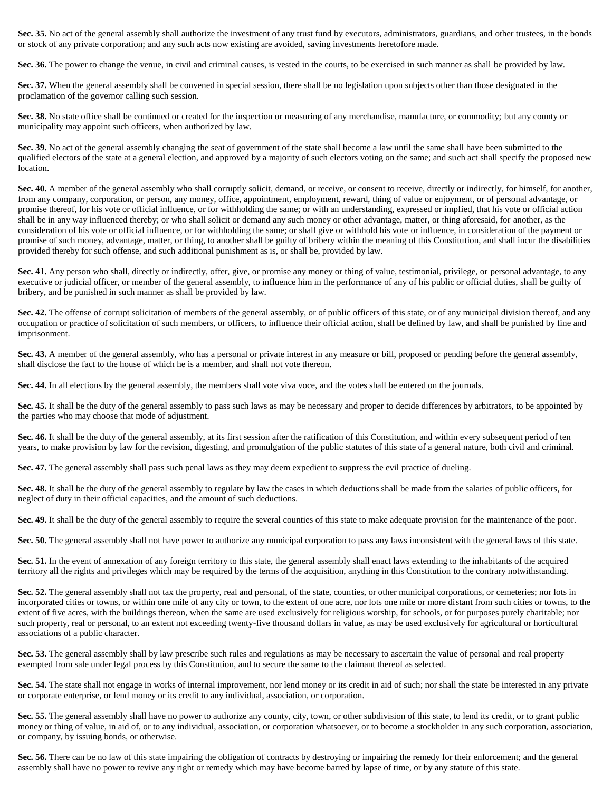Sec. 35. No act of the general assembly shall authorize the investment of any trust fund by executors, administrators, guardians, and other trustees, in the bonds or stock of any private corporation; and any such acts now existing are avoided, saving investments heretofore made.

Sec. 36. The power to change the venue, in civil and criminal causes, is vested in the courts, to be exercised in such manner as shall be provided by law.

**Sec. 37.** When the general assembly shall be convened in special session, there shall be no legislation upon subjects other than those designated in the proclamation of the governor calling such session.

**Sec. 38.** No state office shall be continued or created for the inspection or measuring of any merchandise, manufacture, or commodity; but any county or municipality may appoint such officers, when authorized by law.

**Sec. 39.** No act of the general assembly changing the seat of government of the state shall become a law until the same shall have been submitted to the qualified electors of the state at a general election, and approved by a majority of such electors voting on the same; and such act shall specify the proposed new location.

Sec. 40. A member of the general assembly who shall corruptly solicit, demand, or receive, or consent to receive, directly or indirectly, for himself, for another, from any company, corporation, or person, any money, office, appointment, employment, reward, thing of value or enjoyment, or of personal advantage, or promise thereof, for his vote or official influence, or for withholding the same; or with an understanding, expressed or implied, that his vote or official action shall be in any way influenced thereby; or who shall solicit or demand any such money or other advantage, matter, or thing aforesaid, for another, as the consideration of his vote or official influence, or for withholding the same; or shall give or withhold his vote or influence, in consideration of the payment or promise of such money, advantage, matter, or thing, to another shall be guilty of bribery within the meaning of this Constitution, and shall incur the disabilities provided thereby for such offense, and such additional punishment as is, or shall be, provided by law.

Sec. 41. Any person who shall, directly or indirectly, offer, give, or promise any money or thing of value, testimonial, privilege, or personal advantage, to any executive or judicial officer, or member of the general assembly, to influence him in the performance of any of his public or official duties, shall be guilty of bribery, and be punished in such manner as shall be provided by law.

Sec. 42. The offense of corrupt solicitation of members of the general assembly, or of public officers of this state, or of any municipal division thereof, and any occupation or practice of solicitation of such members, or officers, to influence their official action, shall be defined by law, and shall be punished by fine and imprisonment.

**Sec. 43.** A member of the general assembly, who has a personal or private interest in any measure or bill, proposed or pending before the general assembly, shall disclose the fact to the house of which he is a member, and shall not vote thereon.

**Sec. 44.** In all elections by the general assembly, the members shall vote viva voce, and the votes shall be entered on the journals.

Sec. 45. It shall be the duty of the general assembly to pass such laws as may be necessary and proper to decide differences by arbitrators, to be appointed by the parties who may choose that mode of adjustment.

**Sec. 46.** It shall be the duty of the general assembly, at its first session after the ratification of this Constitution, and within every subsequent period of ten years, to make provision by law for the revision, digesting, and promulgation of the public statutes of this state of a general nature, both civil and criminal.

**Sec. 47.** The general assembly shall pass such penal laws as they may deem expedient to suppress the evil practice of dueling.

**Sec. 48.** It shall be the duty of the general assembly to regulate by law the cases in which deductions shall be made from the salaries of public officers, for neglect of duty in their official capacities, and the amount of such deductions.

Sec. 49. It shall be the duty of the general assembly to require the several counties of this state to make adequate provision for the maintenance of the poor.

**Sec. 50.** The general assembly shall not have power to authorize any municipal corporation to pass any laws inconsistent with the general laws of this state.

Sec. 51. In the event of annexation of any foreign territory to this state, the general assembly shall enact laws extending to the inhabitants of the acquired territory all the rights and privileges which may be required by the terms of the acquisition, anything in this Constitution to the contrary notwithstanding.

Sec. 52. The general assembly shall not tax the property, real and personal, of the state, counties, or other municipal corporations, or cemeteries; nor lots in incorporated cities or towns, or within one mile of any city or town, to the extent of one acre, nor lots one mile or more distant from such cities or towns, to the extent of five acres, with the buildings thereon, when the same are used exclusively for religious worship, for schools, or for purposes purely charitable; nor such property, real or personal, to an extent not exceeding twenty-five thousand dollars in value, as may be used exclusively for agricultural or horticultural associations of a public character.

Sec. 53. The general assembly shall by law prescribe such rules and regulations as may be necessary to ascertain the value of personal and real property exempted from sale under legal process by this Constitution, and to secure the same to the claimant thereof as selected.

Sec. 54. The state shall not engage in works of internal improvement, nor lend money or its credit in aid of such; nor shall the state be interested in any private or corporate enterprise, or lend money or its credit to any individual, association, or corporation.

Sec. 55. The general assembly shall have no power to authorize any county, city, town, or other subdivision of this state, to lend its credit, or to grant public money or thing of value, in aid of, or to any individual, association, or corporation whatsoever, or to become a stockholder in any such corporation, association, or company, by issuing bonds, or otherwise.

**Sec. 56.** There can be no law of this state impairing the obligation of contracts by destroying or impairing the remedy for their enforcement; and the general assembly shall have no power to revive any right or remedy which may have become barred by lapse of time, or by any statute of this state.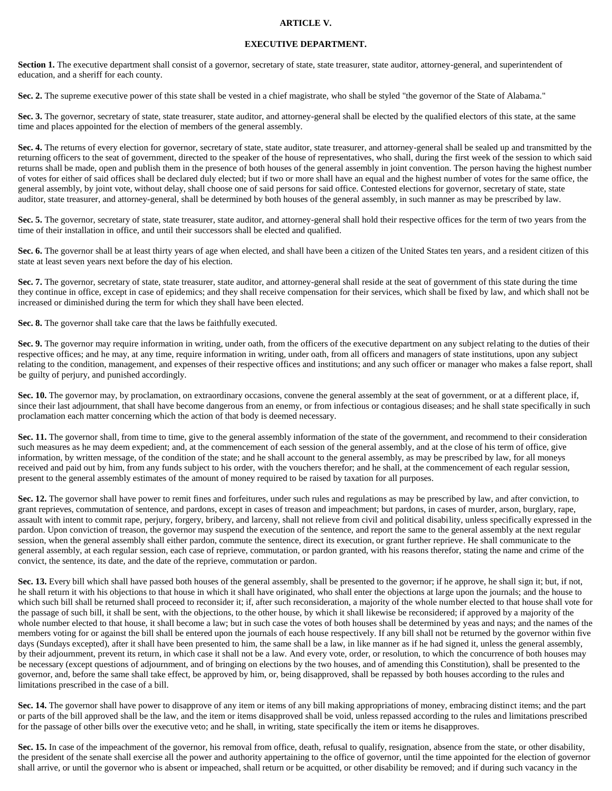#### **ARTICLE V.**

#### **EXECUTIVE DEPARTMENT.**

Section 1. The executive department shall consist of a governor, secretary of state, state treasurer, state auditor, attorney-general, and superintendent of education, and a sheriff for each county.

**Sec. 2.** The supreme executive power of this state shall be vested in a chief magistrate, who shall be styled "the governor of the State of Alabama."

Sec. 3. The governor, secretary of state, state treasurer, state auditor, and attorney-general shall be elected by the qualified electors of this state, at the same time and places appointed for the election of members of the general assembly.

Sec. 4. The returns of every election for governor, secretary of state, state auditor, state treasurer, and attorney-general shall be sealed up and transmitted by the returning officers to the seat of government, directed to the speaker of the house of representatives, who shall, during the first week of the session to which said returns shall be made, open and publish them in the presence of both houses of the general assembly in joint convention. The person having the highest number of votes for either of said offices shall be declared duly elected; but if two or more shall have an equal and the highest number of votes for the same office, the general assembly, by joint vote, without delay, shall choose one of said persons for said office. Contested elections for governor, secretary of state, state auditor, state treasurer, and attorney-general, shall be determined by both houses of the general assembly, in such manner as may be prescribed by law.

Sec. 5. The governor, secretary of state, state treasurer, state auditor, and attorney-general shall hold their respective offices for the term of two years from the time of their installation in office, and until their successors shall be elected and qualified.

Sec. 6. The governor shall be at least thirty years of age when elected, and shall have been a citizen of the United States ten years, and a resident citizen of this state at least seven years next before the day of his election.

Sec. 7. The governor, secretary of state, state treasurer, state auditor, and attorney-general shall reside at the seat of government of this state during the time they continue in office, except in case of epidemics; and they shall receive compensation for their services, which shall be fixed by law, and which shall not be increased or diminished during the term for which they shall have been elected.

**Sec. 8.** The governor shall take care that the laws be faithfully executed.

Sec. 9. The governor may require information in writing, under oath, from the officers of the executive department on any subject relating to the duties of their respective offices; and he may, at any time, require information in writing, under oath, from all officers and managers of state institutions, upon any subject relating to the condition, management, and expenses of their respective offices and institutions; and any such officer or manager who makes a false report, shall be guilty of perjury, and punished accordingly.

**Sec. 10.** The governor may, by proclamation, on extraordinary occasions, convene the general assembly at the seat of government, or at a different place, if, since their last adjournment, that shall have become dangerous from an enemy, or from infectious or contagious diseases; and he shall state specifically in such proclamation each matter concerning which the action of that body is deemed necessary.

Sec. 11. The governor shall, from time to time, give to the general assembly information of the state of the government, and recommend to their consideration such measures as he may deem expedient; and, at the commencement of each session of the general assembly, and at the close of his term of office, give information, by written message, of the condition of the state; and he shall account to the general assembly, as may be prescribed by law, for all moneys received and paid out by him, from any funds subject to his order, with the vouchers therefor; and he shall, at the commencement of each regular session, present to the general assembly estimates of the amount of money required to be raised by taxation for all purposes.

**Sec. 12.** The governor shall have power to remit fines and forfeitures, under such rules and regulations as may be prescribed by law, and after conviction, to grant reprieves, commutation of sentence, and pardons, except in cases of treason and impeachment; but pardons, in cases of murder, arson, burglary, rape, assault with intent to commit rape, perjury, forgery, bribery, and larceny, shall not relieve from civil and political disability, unless specifically expressed in the pardon. Upon conviction of treason, the governor may suspend the execution of the sentence, and report the same to the general assembly at the next regular session, when the general assembly shall either pardon, commute the sentence, direct its execution, or grant further reprieve. He shall communicate to the general assembly, at each regular session, each case of reprieve, commutation, or pardon granted, with his reasons therefor, stating the name and crime of the convict, the sentence, its date, and the date of the reprieve, commutation or pardon.

Sec. 13. Every bill which shall have passed both houses of the general assembly, shall be presented to the governor; if he approve, he shall sign it; but, if not, he shall return it with his objections to that house in which it shall have originated, who shall enter the objections at large upon the journals; and the house to which such bill shall be returned shall proceed to reconsider it; if, after such reconsideration, a majority of the whole number elected to that house shall vote for the passage of such bill, it shall be sent, with the objections, to the other house, by which it shall likewise be reconsidered; if approved by a majority of the whole number elected to that house, it shall become a law; but in such case the votes of both houses shall be determined by yeas and nays; and the names of the members voting for or against the bill shall be entered upon the journals of each house respectively. If any bill shall not be returned by the governor within five days (Sundays excepted), after it shall have been presented to him, the same shall be a law, in like manner as if he had signed it, unless the general assembly, by their adjournment, prevent its return, in which case it shall not be a law. And every vote, order, or resolution, to which the concurrence of both houses may be necessary (except questions of adjournment, and of bringing on elections by the two houses, and of amending this Constitution), shall be presented to the governor, and, before the same shall take effect, be approved by him, or, being disapproved, shall be repassed by both houses according to the rules and limitations prescribed in the case of a bill.

**Sec. 14.** The governor shall have power to disapprove of any item or items of any bill making appropriations of money, embracing distinct items; and the part or parts of the bill approved shall be the law, and the item or items disapproved shall be void, unless repassed according to the rules and limitations prescribed for the passage of other bills over the executive veto; and he shall, in writing, state specifically the item or items he disapproves.

Sec. 15. In case of the impeachment of the governor, his removal from office, death, refusal to qualify, resignation, absence from the state, or other disability, the president of the senate shall exercise all the power and authority appertaining to the office of governor, until the time appointed for the election of governor shall arrive, or until the governor who is absent or impeached, shall return or be acquitted, or other disability be removed; and if during such vacancy in the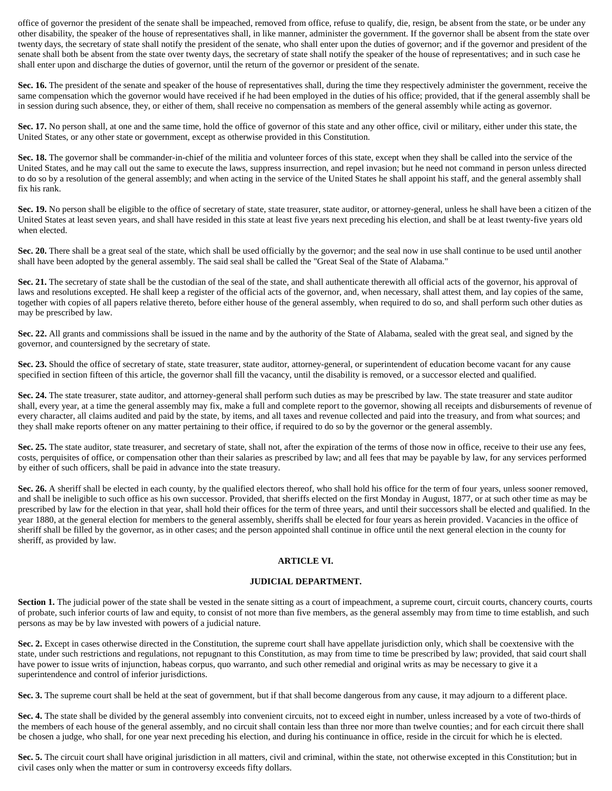office of governor the president of the senate shall be impeached, removed from office, refuse to qualify, die, resign, be absent from the state, or be under any other disability, the speaker of the house of representatives shall, in like manner, administer the government. If the governor shall be absent from the state over twenty days, the secretary of state shall notify the president of the senate, who shall enter upon the duties of governor; and if the governor and president of the senate shall both be absent from the state over twenty days, the secretary of state shall notify the speaker of the house of representatives; and in such case he shall enter upon and discharge the duties of governor, until the return of the governor or president of the senate.

Sec. 16. The president of the senate and speaker of the house of representatives shall, during the time they respectively administer the government, receive the same compensation which the governor would have received if he had been employed in the duties of his office; provided, that if the general assembly shall be in session during such absence, they, or either of them, shall receive no compensation as members of the general assembly while acting as governor.

Sec. 17. No person shall, at one and the same time, hold the office of governor of this state and any other office, civil or military, either under this state, the United States, or any other state or government, except as otherwise provided in this Constitution.

**Sec. 18.** The governor shall be commander-in-chief of the militia and volunteer forces of this state, except when they shall be called into the service of the United States, and he may call out the same to execute the laws, suppress insurrection, and repel invasion; but he need not command in person unless directed to do so by a resolution of the general assembly; and when acting in the service of the United States he shall appoint his staff, and the general assembly shall fix his rank.

Sec. 19. No person shall be eligible to the office of secretary of state, state treasurer, state auditor, or attorney-general, unless he shall have been a citizen of the United States at least seven years, and shall have resided in this state at least five years next preceding his election, and shall be at least twenty-five years old when elected.

**Sec. 20.** There shall be a great seal of the state, which shall be used officially by the governor; and the seal now in use shall continue to be used until another shall have been adopted by the general assembly. The said seal shall be called the "Great Seal of the State of Alabama."

Sec. 21. The secretary of state shall be the custodian of the seal of the state, and shall authenticate therewith all official acts of the governor, his approval of laws and resolutions excepted. He shall keep a register of the official acts of the governor, and, when necessary, shall attest them, and lay copies of the same, together with copies of all papers relative thereto, before either house of the general assembly, when required to do so, and shall perform such other duties as may be prescribed by law.

**Sec. 22.** All grants and commissions shall be issued in the name and by the authority of the State of Alabama, sealed with the great seal, and signed by the governor, and countersigned by the secretary of state.

**Sec. 23.** Should the office of secretary of state, state treasurer, state auditor, attorney-general, or superintendent of education become vacant for any cause specified in section fifteen of this article, the governor shall fill the vacancy, until the disability is removed, or a successor elected and qualified.

**Sec. 24.** The state treasurer, state auditor, and attorney-general shall perform such duties as may be prescribed by law. The state treasurer and state auditor shall, every year, at a time the general assembly may fix, make a full and complete report to the governor, showing all receipts and disbursements of revenue of every character, all claims audited and paid by the state, by items, and all taxes and revenue collected and paid into the treasury, and from what sources; and they shall make reports oftener on any matter pertaining to their office, if required to do so by the governor or the general assembly.

Sec. 25. The state auditor, state treasurer, and secretary of state, shall not, after the expiration of the terms of those now in office, receive to their use any fees, costs, perquisites of office, or compensation other than their salaries as prescribed by law; and all fees that may be payable by law, for any services performed by either of such officers, shall be paid in advance into the state treasury.

Sec. 26. A sheriff shall be elected in each county, by the qualified electors thereof, who shall hold his office for the term of four years, unless sooner removed, and shall be ineligible to such office as his own successor. Provided, that sheriffs elected on the first Monday in August, 1877, or at such other time as may be prescribed by law for the election in that year, shall hold their offices for the term of three years, and until their successors shall be elected and qualified. In the year 1880, at the general election for members to the general assembly, sheriffs shall be elected for four years as herein provided. Vacancies in the office of sheriff shall be filled by the governor, as in other cases; and the person appointed shall continue in office until the next general election in the county for sheriff, as provided by law.

## **ARTICLE VI.**

### **JUDICIAL DEPARTMENT.**

Section 1. The judicial power of the state shall be vested in the senate sitting as a court of impeachment, a supreme court, circuit courts, chancery courts, courts of probate, such inferior courts of law and equity, to consist of not more than five members, as the general assembly may from time to time establish, and such persons as may be by law invested with powers of a judicial nature.

**Sec. 2.** Except in cases otherwise directed in the Constitution, the supreme court shall have appellate jurisdiction only, which shall be coextensive with the state, under such restrictions and regulations, not repugnant to this Constitution, as may from time to time be prescribed by law; provided, that said court shall have power to issue writs of injunction, habeas corpus, quo warranto, and such other remedial and original writs as may be necessary to give it a superintendence and control of inferior jurisdictions.

**Sec. 3.** The supreme court shall be held at the seat of government, but if that shall become dangerous from any cause, it may adjourn to a different place.

**Sec. 4.** The state shall be divided by the general assembly into convenient circuits, not to exceed eight in number, unless increased by a vote of two-thirds of the members of each house of the general assembly, and no circuit shall contain less than three nor more than twelve counties; and for each circuit there shall be chosen a judge, who shall, for one year next preceding his election, and during his continuance in office, reside in the circuit for which he is elected.

**Sec. 5.** The circuit court shall have original jurisdiction in all matters, civil and criminal, within the state, not otherwise excepted in this Constitution; but in civil cases only when the matter or sum in controversy exceeds fifty dollars.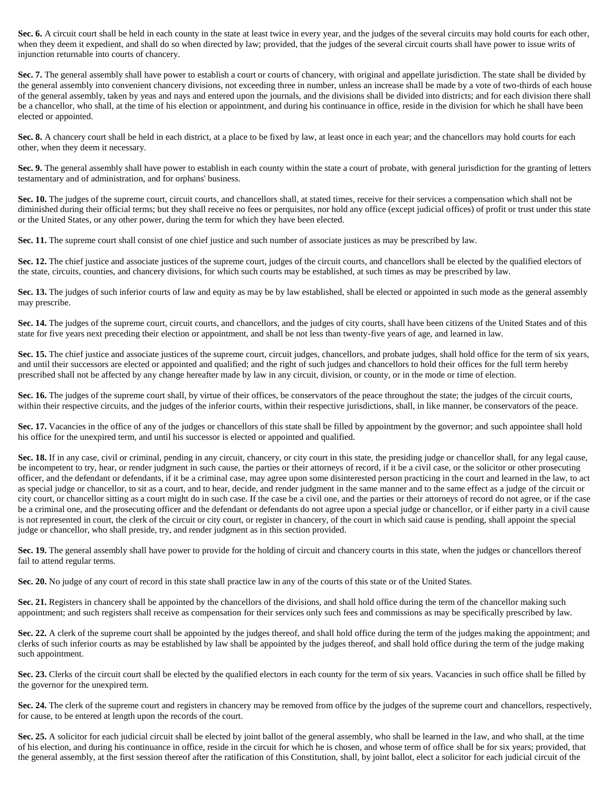Sec. 6. A circuit court shall be held in each county in the state at least twice in every year, and the judges of the several circuits may hold courts for each other, when they deem it expedient, and shall do so when directed by law; provided, that the judges of the several circuit courts shall have power to issue writs of injunction returnable into courts of chancery.

**Sec. 7.** The general assembly shall have power to establish a court or courts of chancery, with original and appellate jurisdiction. The state shall be divided by the general assembly into convenient chancery divisions, not exceeding three in number, unless an increase shall be made by a vote of two-thirds of each house of the general assembly, taken by yeas and nays and entered upon the journals, and the divisions shall be divided into districts; and for each division there shall be a chancellor, who shall, at the time of his election or appointment, and during his continuance in office, reside in the division for which he shall have been elected or appointed.

Sec. 8. A chancery court shall be held in each district, at a place to be fixed by law, at least once in each year; and the chancellors may hold courts for each other, when they deem it necessary.

**Sec. 9.** The general assembly shall have power to establish in each county within the state a court of probate, with general jurisdiction for the granting of letters testamentary and of administration, and for orphans' business.

Sec. 10. The judges of the supreme court, circuit courts, and chancellors shall, at stated times, receive for their services a compensation which shall not be diminished during their official terms; but they shall receive no fees or perquisites, nor hold any office (except judicial offices) of profit or trust under this state or the United States, or any other power, during the term for which they have been elected.

**Sec. 11.** The supreme court shall consist of one chief justice and such number of associate justices as may be prescribed by law.

Sec. 12. The chief justice and associate justices of the supreme court, judges of the circuit courts, and chancellors shall be elected by the qualified electors of the state, circuits, counties, and chancery divisions, for which such courts may be established, at such times as may be prescribed by law.

**Sec. 13.** The judges of such inferior courts of law and equity as may be by law established, shall be elected or appointed in such mode as the general assembly may prescribe.

Sec. 14. The judges of the supreme court, circuit courts, and chancellors, and the judges of city courts, shall have been citizens of the United States and of this state for five years next preceding their election or appointment, and shall be not less than twenty-five years of age, and learned in law.

Sec. 15. The chief justice and associate justices of the supreme court, circuit judges, chancellors, and probate judges, shall hold office for the term of six years, and until their successors are elected or appointed and qualified; and the right of such judges and chancellors to hold their offices for the full term hereby prescribed shall not be affected by any change hereafter made by law in any circuit, division, or county, or in the mode or time of election.

Sec. 16. The judges of the supreme court shall, by virtue of their offices, be conservators of the peace throughout the state; the judges of the circuit courts, within their respective circuits, and the judges of the inferior courts, within their respective jurisdictions, shall, in like manner, be conservators of the peace.

Sec. 17. Vacancies in the office of any of the judges or chancellors of this state shall be filled by appointment by the governor; and such appointee shall hold his office for the unexpired term, and until his successor is elected or appointed and qualified.

Sec. 18. If in any case, civil or criminal, pending in any circuit, chancery, or city court in this state, the presiding judge or chancellor shall, for any legal cause, be incompetent to try, hear, or render judgment in such cause, the parties or their attorneys of record, if it be a civil case, or the solicitor or other prosecuting officer, and the defendant or defendants, if it be a criminal case, may agree upon some disinterested person practicing in the court and learned in the law, to act as special judge or chancellor, to sit as a court, and to hear, decide, and render judgment in the same manner and to the same effect as a judge of the circuit or city court, or chancellor sitting as a court might do in such case. If the case be a civil one, and the parties or their attorneys of record do not agree, or if the case be a criminal one, and the prosecuting officer and the defendant or defendants do not agree upon a special judge or chancellor, or if either party in a civil cause is not represented in court, the clerk of the circuit or city court, or register in chancery, of the court in which said cause is pending, shall appoint the special judge or chancellor, who shall preside, try, and render judgment as in this section provided.

Sec. 19. The general assembly shall have power to provide for the holding of circuit and chancery courts in this state, when the judges or chancellors thereof fail to attend regular terms.

**Sec. 20.** No judge of any court of record in this state shall practice law in any of the courts of this state or of the United States.

Sec. 21. Registers in chancery shall be appointed by the chancellors of the divisions, and shall hold office during the term of the chancellor making such appointment; and such registers shall receive as compensation for their services only such fees and commissions as may be specifically prescribed by law.

Sec. 22. A clerk of the supreme court shall be appointed by the judges thereof, and shall hold office during the term of the judges making the appointment; and clerks of such inferior courts as may be established by law shall be appointed by the judges thereof, and shall hold office during the term of the judge making such appointment.

Sec. 23. Clerks of the circuit court shall be elected by the qualified electors in each county for the term of six years. Vacancies in such office shall be filled by the governor for the unexpired term.

**Sec. 24.** The clerk of the supreme court and registers in chancery may be removed from office by the judges of the supreme court and chancellors, respectively, for cause, to be entered at length upon the records of the court.

Sec. 25. A solicitor for each judicial circuit shall be elected by joint ballot of the general assembly, who shall be learned in the law, and who shall, at the time of his election, and during his continuance in office, reside in the circuit for which he is chosen, and whose term of office shall be for six years; provided, that the general assembly, at the first session thereof after the ratification of this Constitution, shall, by joint ballot, elect a solicitor for each judicial circuit of the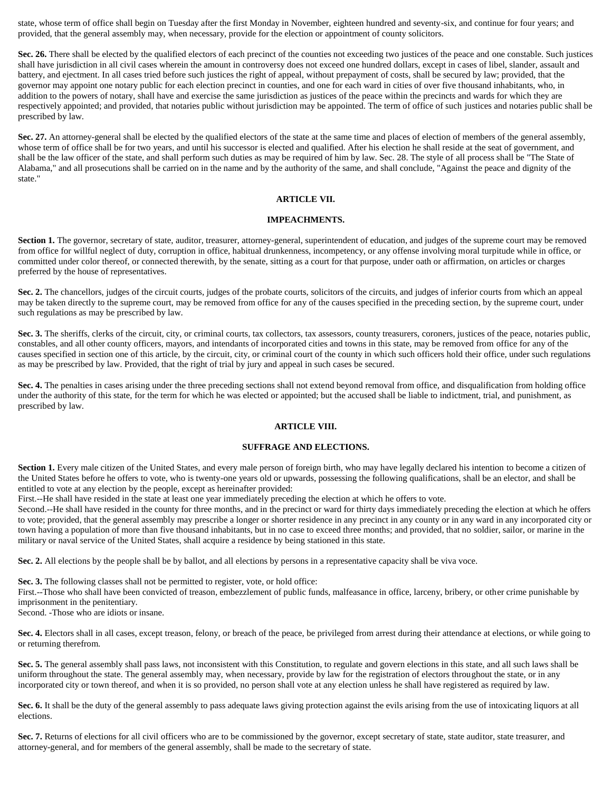state, whose term of office shall begin on Tuesday after the first Monday in November, eighteen hundred and seventy-six, and continue for four years; and provided, that the general assembly may, when necessary, provide for the election or appointment of county solicitors.

**Sec. 26.** There shall be elected by the qualified electors of each precinct of the counties not exceeding two justices of the peace and one constable. Such justices shall have jurisdiction in all civil cases wherein the amount in controversy does not exceed one hundred dollars, except in cases of libel, slander, assault and battery, and ejectment. In all cases tried before such justices the right of appeal, without prepayment of costs, shall be secured by law; provided, that the governor may appoint one notary public for each election precinct in counties, and one for each ward in cities of over five thousand inhabitants, who, in addition to the powers of notary, shall have and exercise the same jurisdiction as justices of the peace within the precincts and wards for which they are respectively appointed; and provided, that notaries public without jurisdiction may be appointed. The term of office of such justices and notaries public shall be prescribed by law.

Sec. 27. An attorney-general shall be elected by the qualified electors of the state at the same time and places of election of members of the general assembly, whose term of office shall be for two years, and until his successor is elected and qualified. After his election he shall reside at the seat of government, and shall be the law officer of the state, and shall perform such duties as may be required of him by law. Sec. 28. The style of all process shall be "The State of Alabama," and all prosecutions shall be carried on in the name and by the authority of the same, and shall conclude, "Against the peace and dignity of the state."

## **ARTICLE VII.**

### **IMPEACHMENTS.**

Section 1. The governor, secretary of state, auditor, treasurer, attorney-general, superintendent of education, and judges of the supreme court may be removed from office for willful neglect of duty, corruption in office, habitual drunkenness, incompetency, or any offense involving moral turpitude while in office, or committed under color thereof, or connected therewith, by the senate, sitting as a court for that purpose, under oath or affirmation, on articles or charges preferred by the house of representatives.

Sec. 2. The chancellors, judges of the circuit courts, judges of the probate courts, solicitors of the circuits, and judges of inferior courts from which an appeal may be taken directly to the supreme court, may be removed from office for any of the causes specified in the preceding section, by the supreme court, under such regulations as may be prescribed by law.

**Sec. 3.** The sheriffs, clerks of the circuit, city, or criminal courts, tax collectors, tax assessors, county treasurers, coroners, justices of the peace, notaries public, constables, and all other county officers, mayors, and intendants of incorporated cities and towns in this state, may be removed from office for any of the causes specified in section one of this article, by the circuit, city, or criminal court of the county in which such officers hold their office, under such regulations as may be prescribed by law. Provided, that the right of trial by jury and appeal in such cases be secured.

**Sec. 4.** The penalties in cases arising under the three preceding sections shall not extend beyond removal from office, and disqualification from holding office under the authority of this state, for the term for which he was elected or appointed; but the accused shall be liable to indictment, trial, and punishment, as prescribed by law.

#### **ARTICLE VIII.**

#### **SUFFRAGE AND ELECTIONS.**

Section 1. Every male citizen of the United States, and every male person of foreign birth, who may have legally declared his intention to become a citizen of the United States before he offers to vote, who is twenty-one years old or upwards, possessing the following qualifications, shall be an elector, and shall be entitled to vote at any election by the people, except as hereinafter provided:

First.--He shall have resided in the state at least one year immediately preceding the election at which he offers to vote.

Second.--He shall have resided in the county for three months, and in the precinct or ward for thirty days immediately preceding the election at which he offers to vote; provided, that the general assembly may prescribe a longer or shorter residence in any precinct in any county or in any ward in any incorporated city or town having a population of more than five thousand inhabitants, but in no case to exceed three months; and provided, that no soldier, sailor, or marine in the military or naval service of the United States, shall acquire a residence by being stationed in this state.

**Sec. 2.** All elections by the people shall be by ballot, and all elections by persons in a representative capacity shall be viva voce.

**Sec. 3.** The following classes shall not be permitted to register, vote, or hold office:

First.--Those who shall have been convicted of treason, embezzlement of public funds, malfeasance in office, larceny, bribery, or other crime punishable by imprisonment in the penitentiary.

Second. -Those who are idiots or insane.

Sec. 4. Electors shall in all cases, except treason, felony, or breach of the peace, be privileged from arrest during their attendance at elections, or while going to or returning therefrom.

**Sec. 5.** The general assembly shall pass laws, not inconsistent with this Constitution, to regulate and govern elections in this state, and all such laws shall be uniform throughout the state. The general assembly may, when necessary, provide by law for the registration of electors throughout the state, or in any incorporated city or town thereof, and when it is so provided, no person shall vote at any election unless he shall have registered as required by law.

Sec. 6. It shall be the duty of the general assembly to pass adequate laws giving protection against the evils arising from the use of intoxicating liquors at all elections.

Sec. 7. Returns of elections for all civil officers who are to be commissioned by the governor, except secretary of state, state auditor, state treasurer, and attorney-general, and for members of the general assembly, shall be made to the secretary of state.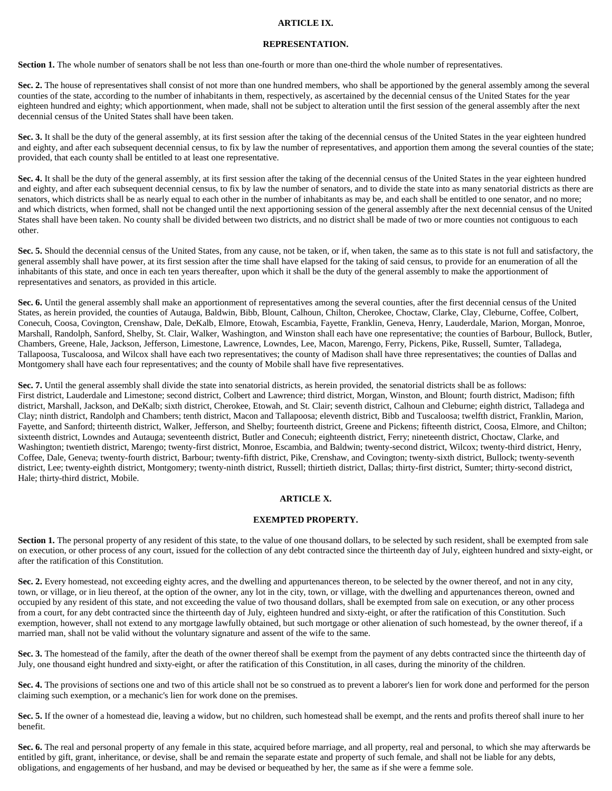#### **ARTICLE IX.**

#### **REPRESENTATION.**

**Section 1.** The whole number of senators shall be not less than one-fourth or more than one-third the whole number of representatives.

Sec. 2. The house of representatives shall consist of not more than one hundred members, who shall be apportioned by the general assembly among the several counties of the state, according to the number of inhabitants in them, respectively, as ascertained by the decennial census of the United States for the year eighteen hundred and eighty; which apportionment, when made, shall not be subject to alteration until the first session of the general assembly after the next decennial census of the United States shall have been taken.

Sec. 3. It shall be the duty of the general assembly, at its first session after the taking of the decennial census of the United States in the year eighteen hundred and eighty, and after each subsequent decennial census, to fix by law the number of representatives, and apportion them among the several counties of the state; provided, that each county shall be entitled to at least one representative.

Sec. 4. It shall be the duty of the general assembly, at its first session after the taking of the decennial census of the United States in the year eighteen hundred and eighty, and after each subsequent decennial census, to fix by law the number of senators, and to divide the state into as many senatorial districts as there are senators, which districts shall be as nearly equal to each other in the number of inhabitants as may be, and each shall be entitled to one senator, and no more; and which districts, when formed, shall not be changed until the next apportioning session of the general assembly after the next decennial census of the United States shall have been taken. No county shall be divided between two districts, and no district shall be made of two or more counties not contiguous to each other.

Sec. 5. Should the decennial census of the United States, from any cause, not be taken, or if, when taken, the same as to this state is not full and satisfactory, the general assembly shall have power, at its first session after the time shall have elapsed for the taking of said census, to provide for an enumeration of all the inhabitants of this state, and once in each ten years thereafter, upon which it shall be the duty of the general assembly to make the apportionment of representatives and senators, as provided in this article.

**Sec. 6.** Until the general assembly shall make an apportionment of representatives among the several counties, after the first decennial census of the United States, as herein provided, the counties of Autauga, Baldwin, Bibb, Blount, Calhoun, Chilton, Cherokee, Choctaw, Clarke, Clay, Cleburne, Coffee, Colbert, Conecuh, Coosa, Covington, Crenshaw, Dale, DeKalb, Elmore, Etowah, Escambia, Fayette, Franklin, Geneva, Henry, Lauderdale, Marion, Morgan, Monroe, Marshall, Randolph, Sanford, Shelby, St. Clair, Walker, Washington, and Winston shall each have one representative; the counties of Barbour, Bullock, Butler, Chambers, Greene, Hale, Jackson, Jefferson, Limestone, Lawrence, Lowndes, Lee, Macon, Marengo, Ferry, Pickens, Pike, Russell, Sumter, Talladega, Tallapoosa, Tuscaloosa, and Wilcox shall have each two representatives; the county of Madison shall have three representatives; the counties of Dallas and Montgomery shall have each four representatives; and the county of Mobile shall have five representatives.

**Sec. 7.** Until the general assembly shall divide the state into senatorial districts, as herein provided, the senatorial districts shall be as follows: First district, Lauderdale and Limestone; second district, Colbert and Lawrence; third district, Morgan, Winston, and Blount; fourth district, Madison; fifth district, Marshall, Jackson, and DeKalb; sixth district, Cherokee, Etowah, and St. Clair; seventh district, Calhoun and Cleburne; eighth district, Talladega and Clay; ninth district, Randolph and Chambers; tenth district, Macon and Tallapoosa; eleventh district, Bibb and Tuscaloosa; twelfth district, Franklin, Marion, Fayette, and Sanford; thirteenth district, Walker, Jefferson, and Shelby; fourteenth district, Greene and Pickens; fifteenth district, Coosa, Elmore, and Chilton; sixteenth district, Lowndes and Autauga; seventeenth district, Butler and Conecuh; eighteenth district, Ferry; nineteenth district, Choctaw, Clarke, and Washington; twentieth district, Marengo; twenty-first district, Monroe, Escambia, and Baldwin; twenty-second district, Wilcox; twenty-third district, Henry, Coffee, Dale, Geneva; twenty-fourth district, Barbour; twenty-fifth district, Pike, Crenshaw, and Covington; twenty-sixth district, Bullock; twenty-seventh district, Lee; twenty-eighth district, Montgomery; twenty-ninth district, Russell; thirtieth district, Dallas; thirty-first district, Sumter; thirty-second district, Hale; thirty-third district, Mobile.

### **ARTICLE X.**

### **EXEMPTED PROPERTY.**

Section 1. The personal property of any resident of this state, to the value of one thousand dollars, to be selected by such resident, shall be exempted from sale on execution, or other process of any court, issued for the collection of any debt contracted since the thirteenth day of July, eighteen hundred and sixty-eight, or after the ratification of this Constitution.

Sec. 2. Every homestead, not exceeding eighty acres, and the dwelling and appurtenances thereon, to be selected by the owner thereof, and not in any city, town, or village, or in lieu thereof, at the option of the owner, any lot in the city, town, or village, with the dwelling and appurtenances thereon, owned and occupied by any resident of this state, and not exceeding the value of two thousand dollars, shall be exempted from sale on execution, or any other process from a court, for any debt contracted since the thirteenth day of July, eighteen hundred and sixty-eight, or after the ratification of this Constitution. Such exemption, however, shall not extend to any mortgage lawfully obtained, but such mortgage or other alienation of such homestead, by the owner thereof, if a married man, shall not be valid without the voluntary signature and assent of the wife to the same.

Sec. 3. The homestead of the family, after the death of the owner thereof shall be exempt from the payment of any debts contracted since the thirteenth day of July, one thousand eight hundred and sixty-eight, or after the ratification of this Constitution, in all cases, during the minority of the children.

Sec. 4. The provisions of sections one and two of this article shall not be so construed as to prevent a laborer's lien for work done and performed for the person claiming such exemption, or a mechanic's lien for work done on the premises.

Sec. 5. If the owner of a homestead die, leaving a widow, but no children, such homestead shall be exempt, and the rents and profits thereof shall inure to her benefit.

**Sec. 6.** The real and personal property of any female in this state, acquired before marriage, and all property, real and personal, to which she may afterwards be entitled by gift, grant, inheritance, or devise, shall be and remain the separate estate and property of such female, and shall not be liable for any debts, obligations, and engagements of her husband, and may be devised or bequeathed by her, the same as if she were a femme sole.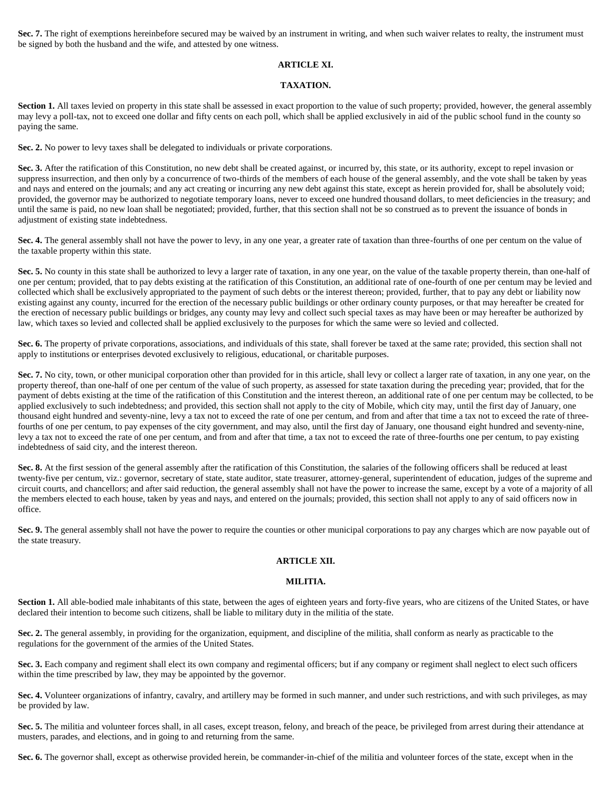Sec. 7. The right of exemptions hereinbefore secured may be waived by an instrument in writing, and when such waiver relates to realty, the instrument must be signed by both the husband and the wife, and attested by one witness.

## **ARTICLE XI.**

### **TAXATION.**

Section 1. All taxes levied on property in this state shall be assessed in exact proportion to the value of such property; provided, however, the general assembly may levy a poll-tax, not to exceed one dollar and fifty cents on each poll, which shall be applied exclusively in aid of the public school fund in the county so paying the same.

**Sec. 2.** No power to levy taxes shall be delegated to individuals or private corporations.

Sec. 3. After the ratification of this Constitution, no new debt shall be created against, or incurred by, this state, or its authority, except to repel invasion or suppress insurrection, and then only by a concurrence of two-thirds of the members of each house of the general assembly, and the vote shall be taken by yeas and nays and entered on the journals; and any act creating or incurring any new debt against this state, except as herein provided for, shall be absolutely void; provided, the governor may be authorized to negotiate temporary loans, never to exceed one hundred thousand dollars, to meet deficiencies in the treasury; and until the same is paid, no new loan shall be negotiated; provided, further, that this section shall not be so construed as to prevent the issuance of bonds in adjustment of existing state indebtedness.

Sec. 4. The general assembly shall not have the power to levy, in any one year, a greater rate of taxation than three-fourths of one per centum on the value of the taxable property within this state.

Sec. 5. No county in this state shall be authorized to levy a larger rate of taxation, in any one year, on the value of the taxable property therein, than one-half of one per centum; provided, that to pay debts existing at the ratification of this Constitution, an additional rate of one-fourth of one per centum may be levied and collected which shall be exclusively appropriated to the payment of such debts or the interest thereon; provided, further, that to pay any debt or liability now existing against any county, incurred for the erection of the necessary public buildings or other ordinary county purposes, or that may hereafter be created for the erection of necessary public buildings or bridges, any county may levy and collect such special taxes as may have been or may hereafter be authorized by law, which taxes so levied and collected shall be applied exclusively to the purposes for which the same were so levied and collected.

Sec. 6. The property of private corporations, associations, and individuals of this state, shall forever be taxed at the same rate; provided, this section shall not apply to institutions or enterprises devoted exclusively to religious, educational, or charitable purposes.

Sec. 7. No city, town, or other municipal corporation other than provided for in this article, shall levy or collect a larger rate of taxation, in any one year, on the property thereof, than one-half of one per centum of the value of such property, as assessed for state taxation during the preceding year; provided, that for the payment of debts existing at the time of the ratification of this Constitution and the interest thereon, an additional rate of one per centum may be collected, to be applied exclusively to such indebtedness; and provided, this section shall not apply to the city of Mobile, which city may, until the first day of January, one thousand eight hundred and seventy-nine, levy a tax not to exceed the rate of one per centum, and from and after that time a tax not to exceed the rate of threefourths of one per centum, to pay expenses of the city government, and may also, until the first day of January, one thousand eight hundred and seventy-nine, levy a tax not to exceed the rate of one per centum, and from and after that time, a tax not to exceed the rate of three-fourths one per centum, to pay existing indebtedness of said city, and the interest thereon.

Sec. 8. At the first session of the general assembly after the ratification of this Constitution, the salaries of the following officers shall be reduced at least twenty-five per centum, viz.: governor, secretary of state, state auditor, state treasurer, attorney-general, superintendent of education, judges of the supreme and circuit courts, and chancellors; and after said reduction, the general assembly shall not have the power to increase the same, except by a vote of a majority of all the members elected to each house, taken by yeas and nays, and entered on the journals; provided, this section shall not apply to any of said officers now in office.

**Sec. 9.** The general assembly shall not have the power to require the counties or other municipal corporations to pay any charges which are now payable out of the state treasury.

### **ARTICLE XII.**

### **MILITIA.**

Section 1. All able-bodied male inhabitants of this state, between the ages of eighteen years and forty-five years, who are citizens of the United States, or have declared their intention to become such citizens, shall be liable to military duty in the militia of the state.

**Sec. 2.** The general assembly, in providing for the organization, equipment, and discipline of the militia, shall conform as nearly as practicable to the regulations for the government of the armies of the United States.

Sec. 3. Each company and regiment shall elect its own company and regimental officers; but if any company or regiment shall neglect to elect such officers within the time prescribed by law, they may be appointed by the governor.

Sec. 4. Volunteer organizations of infantry, cavalry, and artillery may be formed in such manner, and under such restrictions, and with such privileges, as may be provided by law.

Sec. 5. The militia and volunteer forces shall, in all cases, except treason, felony, and breach of the peace, be privileged from arrest during their attendance at musters, parades, and elections, and in going to and returning from the same.

Sec. 6. The governor shall, except as otherwise provided herein, be commander-in-chief of the militia and volunteer forces of the state, except when in the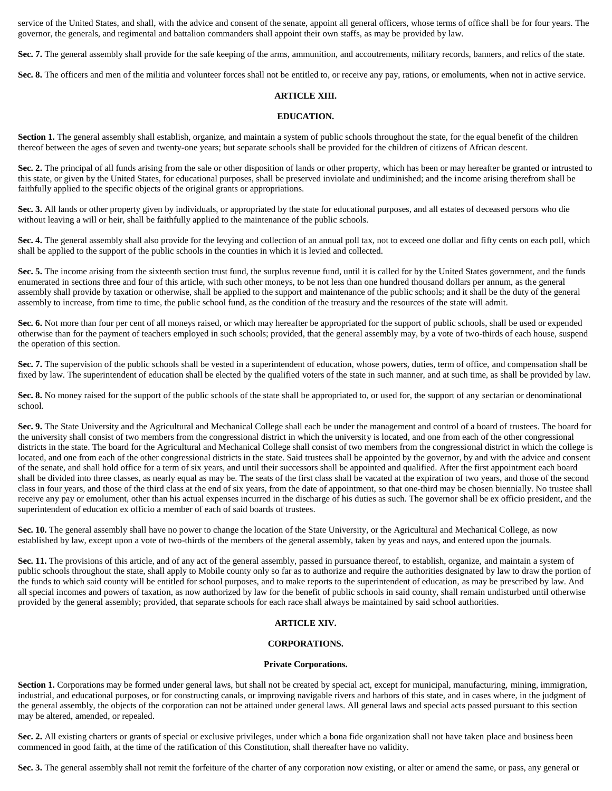service of the United States, and shall, with the advice and consent of the senate, appoint all general officers, whose terms of office shall be for four years. The governor, the generals, and regimental and battalion commanders shall appoint their own staffs, as may be provided by law.

Sec. 7. The general assembly shall provide for the safe keeping of the arms, ammunition, and accoutrements, military records, banners, and relics of the state.

Sec. 8. The officers and men of the militia and volunteer forces shall not be entitled to, or receive any pay, rations, or emoluments, when not in active service.

### **ARTICLE XIII.**

### **EDUCATION.**

Section 1. The general assembly shall establish, organize, and maintain a system of public schools throughout the state, for the equal benefit of the children thereof between the ages of seven and twenty-one years; but separate schools shall be provided for the children of citizens of African descent.

Sec. 2. The principal of all funds arising from the sale or other disposition of lands or other property, which has been or may hereafter be granted or intrusted to this state, or given by the United States, for educational purposes, shall be preserved inviolate and undiminished; and the income arising therefrom shall be faithfully applied to the specific objects of the original grants or appropriations.

**Sec. 3.** All lands or other property given by individuals, or appropriated by the state for educational purposes, and all estates of deceased persons who die without leaving a will or heir, shall be faithfully applied to the maintenance of the public schools.

Sec. 4. The general assembly shall also provide for the levying and collection of an annual poll tax, not to exceed one dollar and fifty cents on each poll, which shall be applied to the support of the public schools in the counties in which it is levied and collected.

**Sec. 5.** The income arising from the sixteenth section trust fund, the surplus revenue fund, until it is called for by the United States government, and the funds enumerated in sections three and four of this article, with such other moneys, to be not less than one hundred thousand dollars per annum, as the general assembly shall provide by taxation or otherwise, shall be applied to the support and maintenance of the public schools; and it shall be the duty of the general assembly to increase, from time to time, the public school fund, as the condition of the treasury and the resources of the state will admit.

**Sec. 6.** Not more than four per cent of all moneys raised, or which may hereafter be appropriated for the support of public schools, shall be used or expended otherwise than for the payment of teachers employed in such schools; provided, that the general assembly may, by a vote of two-thirds of each house, suspend the operation of this section.

**Sec. 7.** The supervision of the public schools shall be vested in a superintendent of education, whose powers, duties, term of office, and compensation shall be fixed by law. The superintendent of education shall be elected by the qualified voters of the state in such manner, and at such time, as shall be provided by law.

Sec. 8. No money raised for the support of the public schools of the state shall be appropriated to, or used for, the support of any sectarian or denominational school.

Sec. 9. The State University and the Agricultural and Mechanical College shall each be under the management and control of a board of trustees. The board for the university shall consist of two members from the congressional district in which the university is located, and one from each of the other congressional districts in the state. The board for the Agricultural and Mechanical College shall consist of two members from the congressional district in which the college is located, and one from each of the other congressional districts in the state. Said trustees shall be appointed by the governor, by and with the advice and consent of the senate, and shall hold office for a term of six years, and until their successors shall be appointed and qualified. After the first appointment each board shall be divided into three classes, as nearly equal as may be. The seats of the first class shall be vacated at the expiration of two years, and those of the second class in four years, and those of the third class at the end of six years, from the date of appointment, so that one-third may be chosen biennially. No trustee shall receive any pay or emolument, other than his actual expenses incurred in the discharge of his duties as such. The governor shall be ex officio president, and the superintendent of education ex officio a member of each of said boards of trustees.

**Sec. 10.** The general assembly shall have no power to change the location of the State University, or the Agricultural and Mechanical College, as now established by law, except upon a vote of two-thirds of the members of the general assembly, taken by yeas and nays, and entered upon the journals.

**Sec. 11.** The provisions of this article, and of any act of the general assembly, passed in pursuance thereof, to establish, organize, and maintain a system of public schools throughout the state, shall apply to Mobile county only so far as to authorize and require the authorities designated by law to draw the portion of the funds to which said county will be entitled for school purposes, and to make reports to the superintendent of education, as may be prescribed by law. And all special incomes and powers of taxation, as now authorized by law for the benefit of public schools in said county, shall remain undisturbed until otherwise provided by the general assembly; provided, that separate schools for each race shall always be maintained by said school authorities.

### **ARTICLE XIV.**

### **CORPORATIONS.**

### **Private Corporations.**

Section 1. Corporations may be formed under general laws, but shall not be created by special act, except for municipal, manufacturing, mining, immigration, industrial, and educational purposes, or for constructing canals, or improving navigable rivers and harbors of this state, and in cases where, in the judgment of the general assembly, the objects of the corporation can not be attained under general laws. All general laws and special acts passed pursuant to this section may be altered, amended, or repealed.

**Sec. 2.** All existing charters or grants of special or exclusive privileges, under which a bona fide organization shall not have taken place and business been commenced in good faith, at the time of the ratification of this Constitution, shall thereafter have no validity.

Sec. 3. The general assembly shall not remit the forfeiture of the charter of any corporation now existing, or alter or amend the same, or pass, any general or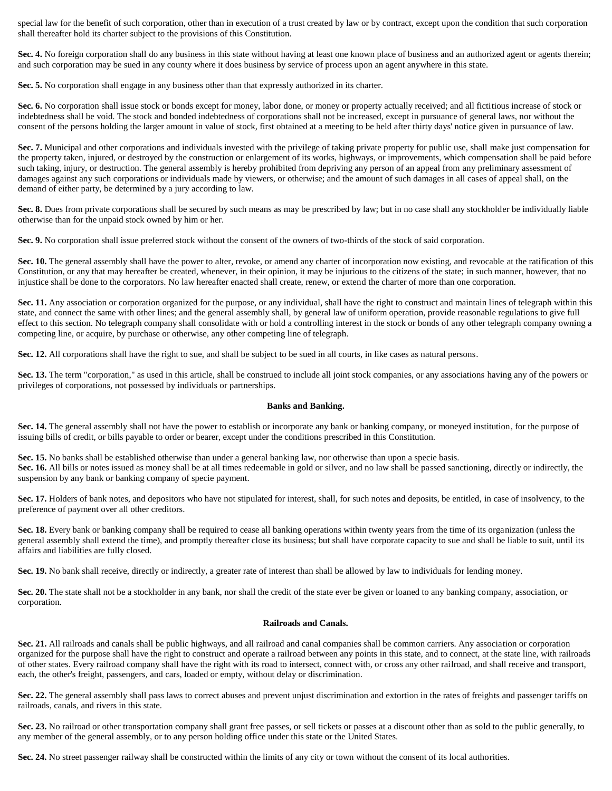special law for the benefit of such corporation, other than in execution of a trust created by law or by contract, except upon the condition that such corporation shall thereafter hold its charter subject to the provisions of this Constitution.

**Sec. 4.** No foreign corporation shall do any business in this state without having at least one known place of business and an authorized agent or agents therein; and such corporation may be sued in any county where it does business by service of process upon an agent anywhere in this state.

**Sec. 5.** No corporation shall engage in any business other than that expressly authorized in its charter.

**Sec. 6.** No corporation shall issue stock or bonds except for money, labor done, or money or property actually received; and all fictitious increase of stock or indebtedness shall be void. The stock and bonded indebtedness of corporations shall not be increased, except in pursuance of general laws, nor without the consent of the persons holding the larger amount in value of stock, first obtained at a meeting to be held after thirty days' notice given in pursuance of law.

**Sec. 7.** Municipal and other corporations and individuals invested with the privilege of taking private property for public use, shall make just compensation for the property taken, injured, or destroyed by the construction or enlargement of its works, highways, or improvements, which compensation shall be paid before such taking, injury, or destruction. The general assembly is hereby prohibited from depriving any person of an appeal from any preliminary assessment of damages against any such corporations or individuals made by viewers, or otherwise; and the amount of such damages in all cases of appeal shall, on the demand of either party, be determined by a jury according to law.

**Sec. 8.** Dues from private corporations shall be secured by such means as may be prescribed by law; but in no case shall any stockholder be individually liable otherwise than for the unpaid stock owned by him or her.

**Sec. 9.** No corporation shall issue preferred stock without the consent of the owners of two-thirds of the stock of said corporation.

Sec. 10. The general assembly shall have the power to alter, revoke, or amend any charter of incorporation now existing, and revocable at the ratification of this Constitution, or any that may hereafter be created, whenever, in their opinion, it may be injurious to the citizens of the state; in such manner, however, that no injustice shall be done to the corporators. No law hereafter enacted shall create, renew, or extend the charter of more than one corporation.

Sec. 11. Any association or corporation organized for the purpose, or any individual, shall have the right to construct and maintain lines of telegraph within this state, and connect the same with other lines; and the general assembly shall, by general law of uniform operation, provide reasonable regulations to give full effect to this section. No telegraph company shall consolidate with or hold a controlling interest in the stock or bonds of any other telegraph company owning a competing line, or acquire, by purchase or otherwise, any other competing line of telegraph.

**Sec. 12.** All corporations shall have the right to sue, and shall be subject to be sued in all courts, in like cases as natural persons.

Sec. 13. The term "corporation," as used in this article, shall be construed to include all joint stock companies, or any associations having any of the powers or privileges of corporations, not possessed by individuals or partnerships.

#### **Banks and Banking.**

**Sec. 14.** The general assembly shall not have the power to establish or incorporate any bank or banking company, or moneyed institution, for the purpose of issuing bills of credit, or bills payable to order or bearer, except under the conditions prescribed in this Constitution.

Sec. 15. No banks shall be established otherwise than under a general banking law, nor otherwise than upon a specie basis. Sec. 16. All bills or notes issued as money shall be at all times redeemable in gold or silver, and no law shall be passed sanctioning, directly or indirectly, the suspension by any bank or banking company of specie payment.

Sec. 17. Holders of bank notes, and depositors who have not stipulated for interest, shall, for such notes and deposits, be entitled, in case of insolvency, to the preference of payment over all other creditors.

**Sec. 18.** Every bank or banking company shall be required to cease all banking operations within twenty years from the time of its organization (unless the general assembly shall extend the time), and promptly thereafter close its business; but shall have corporate capacity to sue and shall be liable to suit, until its affairs and liabilities are fully closed.

**Sec. 19.** No bank shall receive, directly or indirectly, a greater rate of interest than shall be allowed by law to individuals for lending money.

**Sec. 20.** The state shall not be a stockholder in any bank, nor shall the credit of the state ever be given or loaned to any banking company, association, or corporation.

### **Railroads and Canals.**

**Sec. 21.** All railroads and canals shall be public highways, and all railroad and canal companies shall be common carriers. Any association or corporation organized for the purpose shall have the right to construct and operate a railroad between any points in this state, and to connect, at the state line, with railroads of other states. Every railroad company shall have the right with its road to intersect, connect with, or cross any other railroad, and shall receive and transport, each, the other's freight, passengers, and cars, loaded or empty, without delay or discrimination.

Sec. 22. The general assembly shall pass laws to correct abuses and prevent unjust discrimination and extortion in the rates of freights and passenger tariffs on railroads, canals, and rivers in this state.

Sec. 23. No railroad or other transportation company shall grant free passes, or sell tickets or passes at a discount other than as sold to the public generally, to any member of the general assembly, or to any person holding office under this state or the United States.

**Sec. 24.** No street passenger railway shall be constructed within the limits of any city or town without the consent of its local authorities.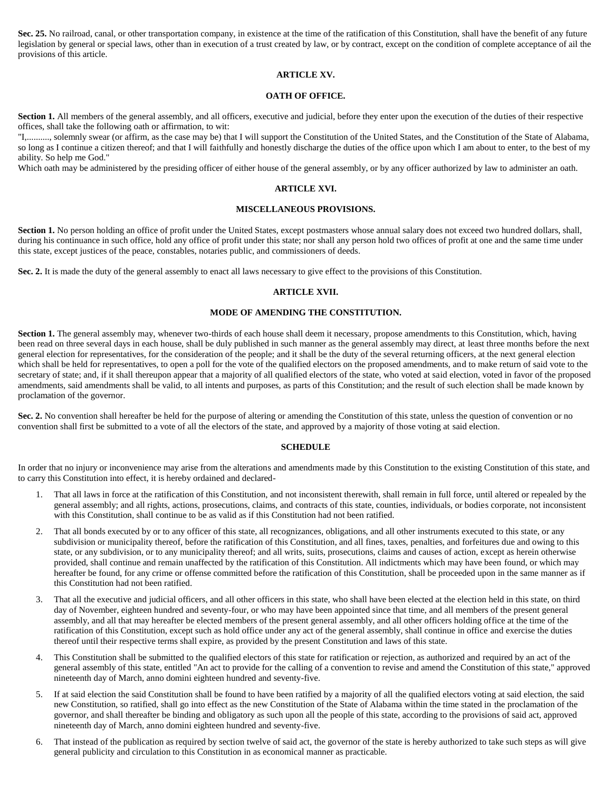**Sec. 25.** No railroad, canal, or other transportation company, in existence at the time of the ratification of this Constitution, shall have the benefit of any future legislation by general or special laws, other than in execution of a trust created by law, or by contract, except on the condition of complete acceptance of ail the provisions of this article.

## **ARTICLE XV.**

#### **OATH OF OFFICE.**

Section 1. All members of the general assembly, and all officers, executive and judicial, before they enter upon the execution of the duties of their respective offices, shall take the following oath or affirmation, to wit:

"I,.........., solemnly swear (or affirm, as the case may be) that I will support the Constitution of the United States, and the Constitution of the State of Alabama, so long as I continue a citizen thereof; and that I will faithfully and honestly discharge the duties of the office upon which I am about to enter, to the best of my ability. So help me God."

Which oath may be administered by the presiding officer of either house of the general assembly, or by any officer authorized by law to administer an oath.

#### **ARTICLE XVI.**

#### **MISCELLANEOUS PROVISIONS.**

Section 1. No person holding an office of profit under the United States, except postmasters whose annual salary does not exceed two hundred dollars, shall, during his continuance in such office, hold any office of profit under this state; nor shall any person hold two offices of profit at one and the same time under this state, except justices of the peace, constables, notaries public, and commissioners of deeds.

**Sec. 2.** It is made the duty of the general assembly to enact all laws necessary to give effect to the provisions of this Constitution.

#### **ARTICLE XVII.**

### **MODE OF AMENDING THE CONSTITUTION.**

Section 1. The general assembly may, whenever two-thirds of each house shall deem it necessary, propose amendments to this Constitution, which, having been read on three several days in each house, shall be duly published in such manner as the general assembly may direct, at least three months before the next general election for representatives, for the consideration of the people; and it shall be the duty of the several returning officers, at the next general election which shall be held for representatives, to open a poll for the vote of the qualified electors on the proposed amendments, and to make return of said vote to the secretary of state; and, if it shall thereupon appear that a majority of all qualified electors of the state, who voted at said election, voted in favor of the proposed amendments, said amendments shall be valid, to all intents and purposes, as parts of this Constitution; and the result of such election shall be made known by proclamation of the governor.

**Sec. 2.** No convention shall hereafter be held for the purpose of altering or amending the Constitution of this state, unless the question of convention or no convention shall first be submitted to a vote of all the electors of the state, and approved by a majority of those voting at said election.

#### **SCHEDULE**

In order that no injury or inconvenience may arise from the alterations and amendments made by this Constitution to the existing Constitution of this state, and to carry this Constitution into effect, it is hereby ordained and declared-

- 1. That all laws in force at the ratification of this Constitution, and not inconsistent therewith, shall remain in full force, until altered or repealed by the general assembly; and all rights, actions, prosecutions, claims, and contracts of this state, counties, individuals, or bodies corporate, not inconsistent with this Constitution, shall continue to be as valid as if this Constitution had not been ratified.
- 2. That all bonds executed by or to any officer of this state, all recognizances, obligations, and all other instruments executed to this state, or any subdivision or municipality thereof, before the ratification of this Constitution, and all fines, taxes, penalties, and forfeitures due and owing to this state, or any subdivision, or to any municipality thereof; and all writs, suits, prosecutions, claims and causes of action, except as herein otherwise provided, shall continue and remain unaffected by the ratification of this Constitution. All indictments which may have been found, or which may hereafter be found, for any crime or offense committed before the ratification of this Constitution, shall be proceeded upon in the same manner as if this Constitution had not been ratified.
- 3. That all the executive and judicial officers, and all other officers in this state, who shall have been elected at the election held in this state, on third day of November, eighteen hundred and seventy-four, or who may have been appointed since that time, and all members of the present general assembly, and all that may hereafter be elected members of the present general assembly, and all other officers holding office at the time of the ratification of this Constitution, except such as hold office under any act of the general assembly, shall continue in office and exercise the duties thereof until their respective terms shall expire, as provided by the present Constitution and laws of this state.
- 4. This Constitution shall be submitted to the qualified electors of this state for ratification or rejection, as authorized and required by an act of the general assembly of this state, entitled "An act to provide for the calling of a convention to revise and amend the Constitution of this state," approved nineteenth day of March, anno domini eighteen hundred and seventy-five.
- 5. If at said election the said Constitution shall be found to have been ratified by a majority of all the qualified electors voting at said election, the said new Constitution, so ratified, shall go into effect as the new Constitution of the State of Alabama within the time stated in the proclamation of the governor, and shall thereafter be binding and obligatory as such upon all the people of this state, according to the provisions of said act, approved nineteenth day of March, anno domini eighteen hundred and seventy-five.
- 6. That instead of the publication as required by section twelve of said act, the governor of the state is hereby authorized to take such steps as will give general publicity and circulation to this Constitution in as economical manner as practicable.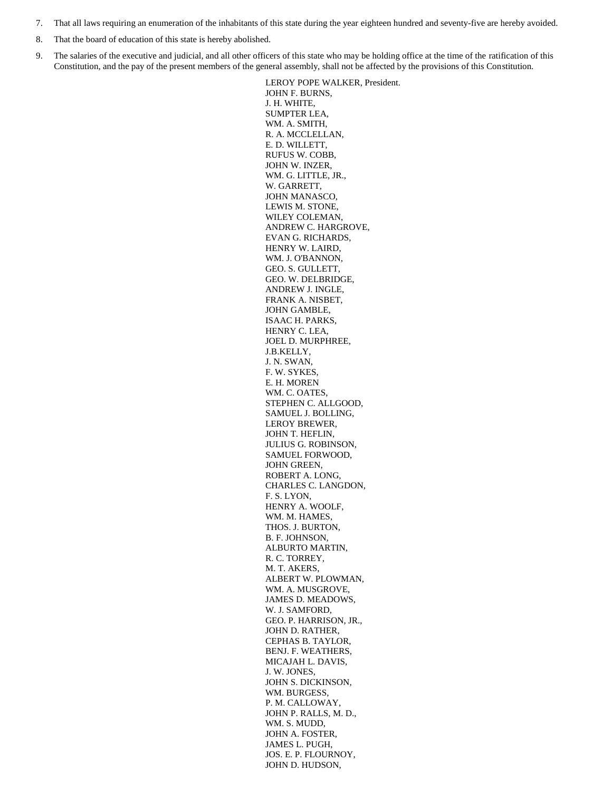- 7. That all laws requiring an enumeration of the inhabitants of this state during the year eighteen hundred and seventy-five are hereby avoided.
- 8. That the board of education of this state is hereby abolished.
- 9. The salaries of the executive and judicial, and all other officers of this state who may be holding office at the time of the ratification of this Constitution, and the pay of the present members of the general assembly, shall not be affected by the provisions of this Constitution.

LEROY POPE WALKER, President. JOHN F. BURNS, J. H. WHITE, SUMPTER LEA, WM. A. SMITH, R. A. MCCLELLAN, E. D. WILLETT, RUFUS W. COBB, JOHN W. INZER, WM. G. LITTLE, JR., W. GARRETT, JOHN MANASCO, LEWIS M. STONE, WILEY COLEMAN, ANDREW C. HARGROVE, EVAN G. RICHARDS, HENRY W. LAIRD, WM. J. O'BANNON, GEO. S. GULLETT, GEO. W. DELBRIDGE, ANDREW J. INGLE, FRANK A. NISBET, JOHN GAMBLE, ISAAC H. PARKS, HENRY C. LEA, JOEL D. MURPHREE, J.B.KELLY, J. N. SWAN, F. W. SYKES, E. H. MOREN WM. C. OATES, STEPHEN C. ALLGOOD, SAMUEL J. BOLLING, LEROY BREWER, JOHN T. HEFLIN, JULIUS G. ROBINSON, SAMUEL FORWOOD, JOHN GREEN, ROBERT A. LONG, CHARLES C. LANGDON, F. S. LYON, HENRY A. WOOLF, WM. M. HAMES, THOS. J. BURTON, B. F. JOHNSON, ALBURTO MARTIN, R. C. TORREY, M. T. AKERS, ALBERT W. PLOWMAN, WM. A. MUSGROVE, JAMES D. MEADOWS, W. J. SAMFORD, GEO. P. HARRISON, JR., JOHN D. RATHER, CEPHAS B. TAYLOR, BENJ. F. WEATHERS, MICAJAH L. DAVIS, J. W. JONES, JOHN S. DICKINSON, WM. BURGESS, P. M. CALLOWAY, JOHN P. RALLS, M. D., WM. S. MUDD, JOHN A. FOSTER, JAMES L. PUGH, JOS. E. P. FLOURNOY, JOHN D. HUDSON,